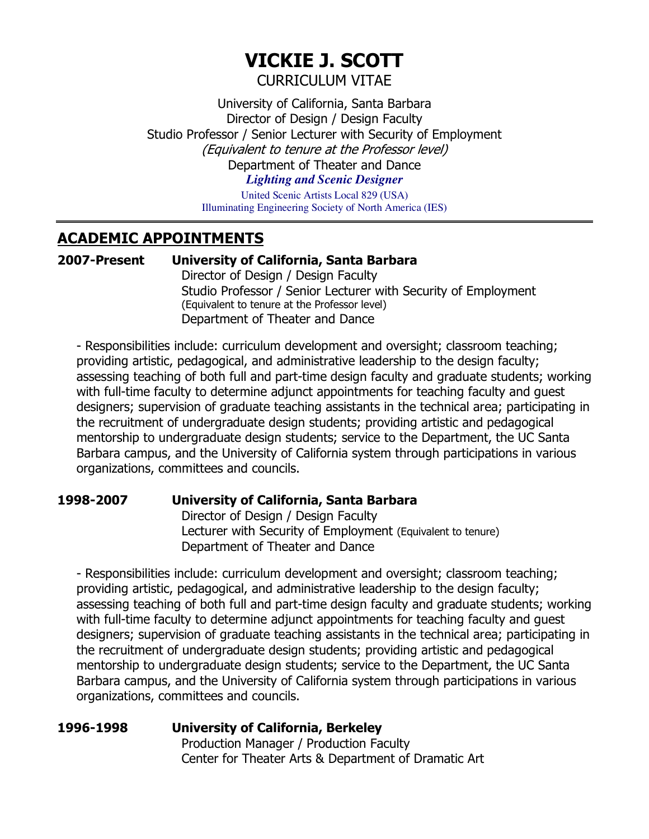# **VICKIE J. SCOTT**

CURRICULUM VITAE

University of California, Santa Barbara Director of Design / Design Faculty Studio Professor / Senior Lecturer with Security of Employment (Equivalent to tenure at the Professor level) Department of Theater and Dance *Lighting and Scenic Designer*

> United Scenic Artists Local 829 (USA) Illuminating Engineering Society of North America (IES)

## **ACADEMIC APPOINTMENTS**

#### **2007-Present University of California, Santa Barbara**

Director of Design / Design Faculty Studio Professor / Senior Lecturer with Security of Employment (Equivalent to tenure at the Professor level) Department of Theater and Dance

- Responsibilities include: curriculum development and oversight; classroom teaching; providing artistic, pedagogical, and administrative leadership to the design faculty; assessing teaching of both full and part-time design faculty and graduate students; working with full-time faculty to determine adjunct appointments for teaching faculty and guest designers; supervision of graduate teaching assistants in the technical area; participating in the recruitment of undergraduate design students; providing artistic and pedagogical mentorship to undergraduate design students; service to the Department, the UC Santa Barbara campus, and the University of California system through participations in various organizations, committees and councils.

#### **1998-2007 University of California, Santa Barbara**

Director of Design / Design Faculty Lecturer with Security of Employment (Equivalent to tenure) Department of Theater and Dance

- Responsibilities include: curriculum development and oversight; classroom teaching; providing artistic, pedagogical, and administrative leadership to the design faculty; assessing teaching of both full and part-time design faculty and graduate students; working with full-time faculty to determine adjunct appointments for teaching faculty and quest designers; supervision of graduate teaching assistants in the technical area; participating in the recruitment of undergraduate design students; providing artistic and pedagogical mentorship to undergraduate design students; service to the Department, the UC Santa Barbara campus, and the University of California system through participations in various organizations, committees and councils.

## **1996-1998 University of California, Berkeley**

Production Manager / Production Faculty Center for Theater Arts & Department of Dramatic Art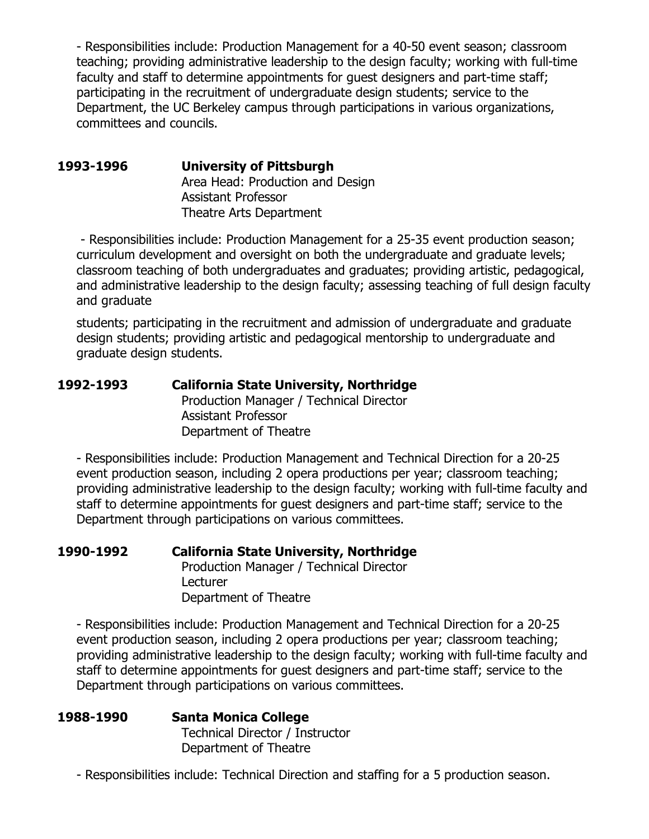- Responsibilities include: Production Management for a 40-50 event season; classroom teaching; providing administrative leadership to the design faculty; working with full-time faculty and staff to determine appointments for guest designers and part-time staff; participating in the recruitment of undergraduate design students; service to the Department, the UC Berkeley campus through participations in various organizations, committees and councils.

**1993-1996 University of Pittsburgh** Area Head: Production and Design Assistant Professor Theatre Arts Department

- Responsibilities include: Production Management for a 25-35 event production season; curriculum development and oversight on both the undergraduate and graduate levels; classroom teaching of both undergraduates and graduates; providing artistic, pedagogical, and administrative leadership to the design faculty; assessing teaching of full design faculty and graduate

students; participating in the recruitment and admission of undergraduate and graduate design students; providing artistic and pedagogical mentorship to undergraduate and graduate design students.

| 1992-1993 | <b>California State University, Northridge</b> |  |
|-----------|------------------------------------------------|--|
|           | Production Manager / Technical Director        |  |
|           | <b>Assistant Professor</b>                     |  |
|           | Department of Theatre                          |  |

- Responsibilities include: Production Management and Technical Direction for a 20-25 event production season, including 2 opera productions per year; classroom teaching; providing administrative leadership to the design faculty; working with full-time faculty and staff to determine appointments for guest designers and part-time staff; service to the Department through participations on various committees.

**1990-1992 California State University, Northridge** Production Manager / Technical Director **Lecturer** Department of Theatre

- Responsibilities include: Production Management and Technical Direction for a 20-25 event production season, including 2 opera productions per year; classroom teaching; providing administrative leadership to the design faculty; working with full-time faculty and staff to determine appointments for guest designers and part-time staff; service to the Department through participations on various committees.

| 1988-1990 | <b>Santa Monica College</b>     |  |
|-----------|---------------------------------|--|
|           | Technical Director / Instructor |  |
|           | Department of Theatre           |  |

- Responsibilities include: Technical Direction and staffing for a 5 production season.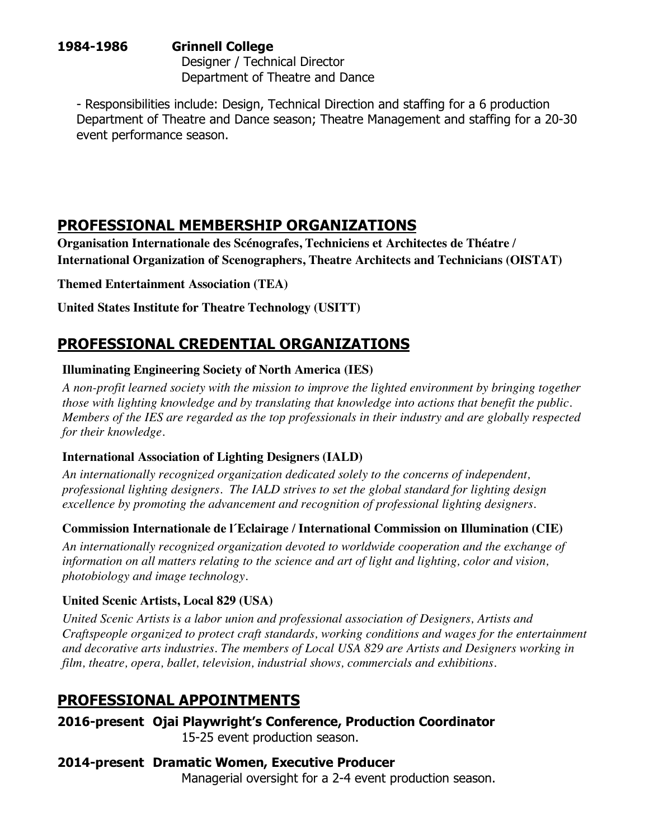#### **1984-1986 Grinnell College** Designer / Technical Director Department of Theatre and Dance

- Responsibilities include: Design, Technical Direction and staffing for a 6 production Department of Theatre and Dance season; Theatre Management and staffing for a 20-30 event performance season.

## **PROFESSIONAL MEMBERSHIP ORGANIZATIONS**

**Organisation Internationale des Scénografes, Techniciens et Architectes de Théatre / International Organization of Scenographers, Theatre Architects and Technicians (OISTAT)**

**Themed Entertainment Association (TEA)**

**United States Institute for Theatre Technology (USITT)**

## **PROFESSIONAL CREDENTIAL ORGANIZATIONS**

### **Illuminating Engineering Society of North America (IES)**

*A non-profit learned society with the mission to improve the lighted environment by bringing together those with lighting knowledge and by translating that knowledge into actions that benefit the public. Members of the IES are regarded as the top professionals in their industry and are globally respected for their knowledge.*

#### **International Association of Lighting Designers (IALD)**

*An internationally recognized organization dedicated solely to the concerns of independent, professional lighting designers. The IALD strives to set the global standard for lighting design excellence by promoting the advancement and recognition of professional lighting designers.*

## **Commission Internationale de l´Eclairage / International Commission on Illumination (CIE)**

*An internationally recognized organization devoted to worldwide cooperation and the exchange of information on all matters relating to the science and art of light and lighting, color and vision, photobiology and image technology.*

## **United Scenic Artists, Local 829 (USA)**

*United Scenic Artists is a labor union and professional association of Designers, Artists and Craftspeople organized to protect craft standards, working conditions and wages for the entertainment and decorative arts industries. The members of Local USA 829 are Artists and Designers working in film, theatre, opera, ballet, television, industrial shows, commercials and exhibitions.*

## **PROFESSIONAL APPOINTMENTS**

**2016-present Ojai Playwright's Conference, Production Coordinator** 15-25 event production season.

## **2014-present Dramatic Women, Executive Producer**

Managerial oversight for a 2-4 event production season.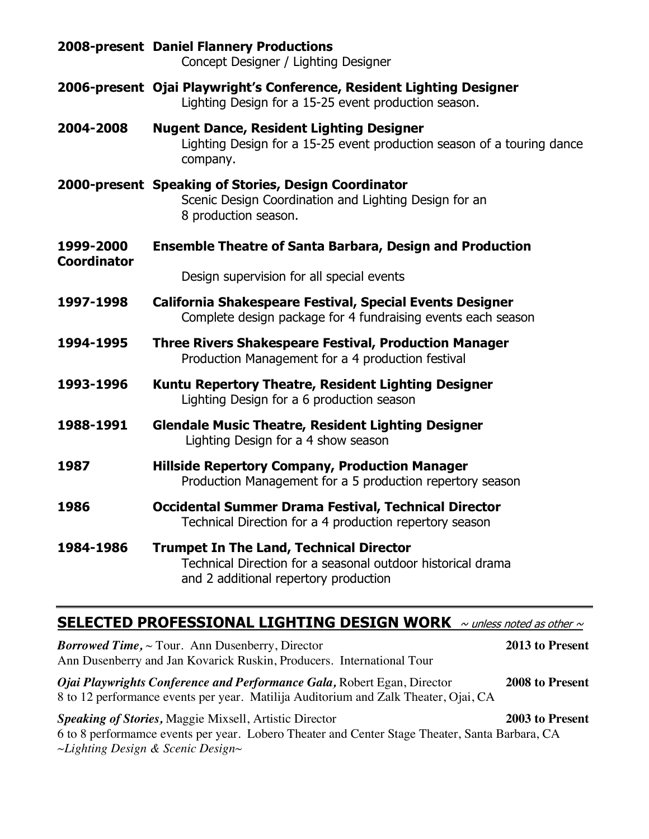|                                 | 2008-present Daniel Flannery Productions<br>Concept Designer / Lighting Designer                                                                       |
|---------------------------------|--------------------------------------------------------------------------------------------------------------------------------------------------------|
|                                 | 2006-present Ojai Playwright's Conference, Resident Lighting Designer<br>Lighting Design for a 15-25 event production season.                          |
| 2004-2008                       | <b>Nugent Dance, Resident Lighting Designer</b><br>Lighting Design for a 15-25 event production season of a touring dance<br>company.                  |
|                                 | 2000-present Speaking of Stories, Design Coordinator<br>Scenic Design Coordination and Lighting Design for an<br>8 production season.                  |
| 1999-2000<br><b>Coordinator</b> | <b>Ensemble Theatre of Santa Barbara, Design and Production</b>                                                                                        |
|                                 | Design supervision for all special events                                                                                                              |
| 1997-1998                       | <b>California Shakespeare Festival, Special Events Designer</b><br>Complete design package for 4 fundraising events each season                        |
| 1994-1995                       | <b>Three Rivers Shakespeare Festival, Production Manager</b><br>Production Management for a 4 production festival                                      |
| 1993-1996                       | <b>Kuntu Repertory Theatre, Resident Lighting Designer</b><br>Lighting Design for a 6 production season                                                |
| 1988-1991                       | <b>Glendale Music Theatre, Resident Lighting Designer</b><br>Lighting Design for a 4 show season                                                       |
| 1987                            | <b>Hillside Repertory Company, Production Manager</b><br>Production Management for a 5 production repertory season                                     |
| 1986                            | <b>Occidental Summer Drama Festival, Technical Director</b><br>Technical Direction for a 4 production repertory season                                 |
| 1984-1986                       | <b>Trumpet In The Land, Technical Director</b><br>Technical Direction for a seasonal outdoor historical drama<br>and 2 additional repertory production |

## **SELECTED PROFESSIONAL LIGHTING DESIGN WORK**  $\sim$  unless noted as other  $\sim$

*Borrowed Time,* ~ Tour. Ann Dusenberry, Director **2013 to Present** Ann Dusenberry and Jan Kovarick Ruskin, Producers. International Tour *Ojai Playwrights Conference and Performance Gala,* Robert Egan, Director **2008 to Present** 8 to 12 performance events per year. Matilija Auditorium and Zalk Theater, Ojai, CA *Speaking of Stories,* Maggie Mixsell, Artistic Director **2003 to Present** 6 to 8 performamce events per year. Lobero Theater and Center Stage Theater, Santa Barbara, CA *~Lighting Design & Scenic Design~*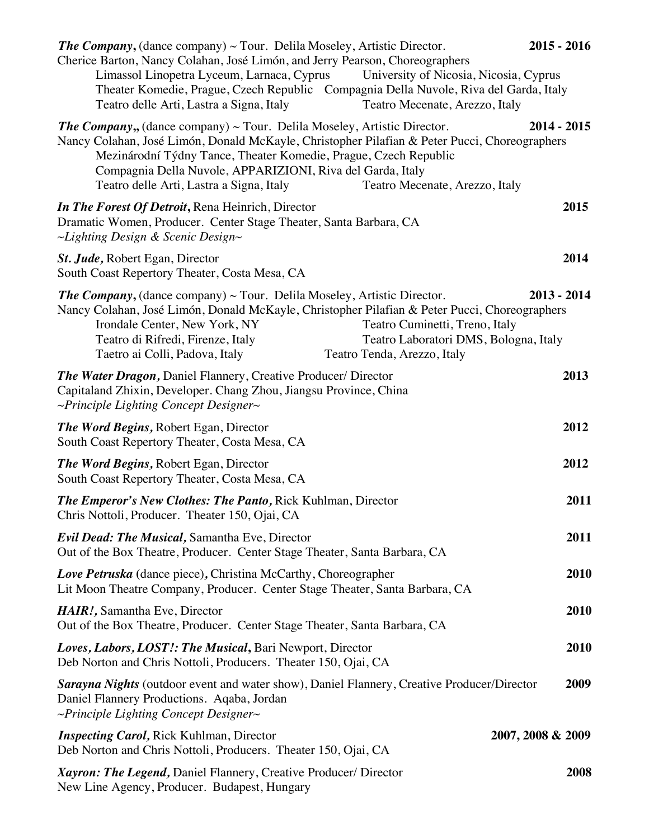| <b>The Company,</b> (dance company) $\sim$ Tour. Delila Moseley, Artistic Director.<br>Cherice Barton, Nancy Colahan, José Limón, and Jerry Pearson, Choreographers<br>Limassol Linopetra Lyceum, Larnaca, Cyprus<br>Theater Komedie, Prague, Czech Republic Compagnia Della Nuvole, Riva del Garda, Italy<br>Teatro delle Arti, Lastra a Signa, Italy              | University of Nicosia, Nicosia, Cyprus<br>Teatro Mecenate, Arezzo, Italy                               | $2015 - 2016$ |
|---------------------------------------------------------------------------------------------------------------------------------------------------------------------------------------------------------------------------------------------------------------------------------------------------------------------------------------------------------------------|--------------------------------------------------------------------------------------------------------|---------------|
| <b>The Company,,</b> (dance company) $\sim$ Tour. Delila Moseley, Artistic Director.<br>Nancy Colahan, José Limón, Donald McKayle, Christopher Pilafian & Peter Pucci, Choreographers<br>Mezinárodní Týdny Tance, Theater Komedie, Prague, Czech Republic<br>Compagnia Della Nuvole, APPARIZIONI, Riva del Garda, Italy<br>Teatro delle Arti, Lastra a Signa, Italy | Teatro Mecenate, Arezzo, Italy                                                                         | $2014 - 2015$ |
| In The Forest Of Detroit, Rena Heinrich, Director<br>Dramatic Women, Producer. Center Stage Theater, Santa Barbara, CA<br>$\sim$ Lighting Design & Scenic Design $\sim$                                                                                                                                                                                             |                                                                                                        | 2015          |
| St. Jude, Robert Egan, Director<br>South Coast Repertory Theater, Costa Mesa, CA                                                                                                                                                                                                                                                                                    |                                                                                                        | 2014          |
| <b>The Company,</b> (dance company) $\sim$ Tour. Delila Moseley, Artistic Director.<br>Nancy Colahan, José Limón, Donald McKayle, Christopher Pilafian & Peter Pucci, Choreographers<br>Irondale Center, New York, NY<br>Teatro di Rifredi, Firenze, Italy<br>Taetro ai Colli, Padova, Italy                                                                        | Teatro Cuminetti, Treno, Italy<br>Teatro Laboratori DMS, Bologna, Italy<br>Teatro Tenda, Arezzo, Italy | $2013 - 2014$ |
| The Water Dragon, Daniel Flannery, Creative Producer/ Director<br>Capitaland Zhixin, Developer. Chang Zhou, Jiangsu Province, China<br>$\sim$ Principle Lighting Concept Designer $\sim$                                                                                                                                                                            |                                                                                                        | 2013          |
| <b>The Word Begins, Robert Egan, Director</b><br>South Coast Repertory Theater, Costa Mesa, CA                                                                                                                                                                                                                                                                      |                                                                                                        | 2012          |
| The Word Begins, Robert Egan, Director<br>South Coast Repertory Theater, Costa Mesa, CA                                                                                                                                                                                                                                                                             |                                                                                                        | 2012          |
| <b>The Emperor's New Clothes: The Panto, Rick Kuhlman, Director</b><br>Chris Nottoli, Producer. Theater 150, Ojai, CA                                                                                                                                                                                                                                               |                                                                                                        | 2011          |
| <b>Evil Dead: The Musical, Samantha Eve, Director</b><br>Out of the Box Theatre, Producer. Center Stage Theater, Santa Barbara, CA                                                                                                                                                                                                                                  |                                                                                                        | 2011          |
| <b>Love Petruska</b> (dance piece), Christina McCarthy, Choreographer<br>Lit Moon Theatre Company, Producer. Center Stage Theater, Santa Barbara, CA                                                                                                                                                                                                                |                                                                                                        | 2010          |
| HAIR!, Samantha Eve, Director<br>Out of the Box Theatre, Producer. Center Stage Theater, Santa Barbara, CA                                                                                                                                                                                                                                                          |                                                                                                        | 2010          |
| Loves, Labors, LOST!: The Musical, Bari Newport, Director<br>Deb Norton and Chris Nottoli, Producers. Theater 150, Ojai, CA                                                                                                                                                                                                                                         |                                                                                                        | 2010          |
| <b>Sarayna Nights</b> (outdoor event and water show), Daniel Flannery, Creative Producer/Director<br>Daniel Flannery Productions. Aqaba, Jordan<br>$\sim$ Principle Lighting Concept Designer $\sim$                                                                                                                                                                |                                                                                                        | 2009          |
| <b>Inspecting Carol, Rick Kuhlman, Director</b><br>Deb Norton and Chris Nottoli, Producers. Theater 150, Ojai, CA                                                                                                                                                                                                                                                   | 2007, 2008 & 2009                                                                                      |               |
| Xayron: The Legend, Daniel Flannery, Creative Producer/ Director<br>New Line Agency, Producer. Budapest, Hungary                                                                                                                                                                                                                                                    |                                                                                                        | 2008          |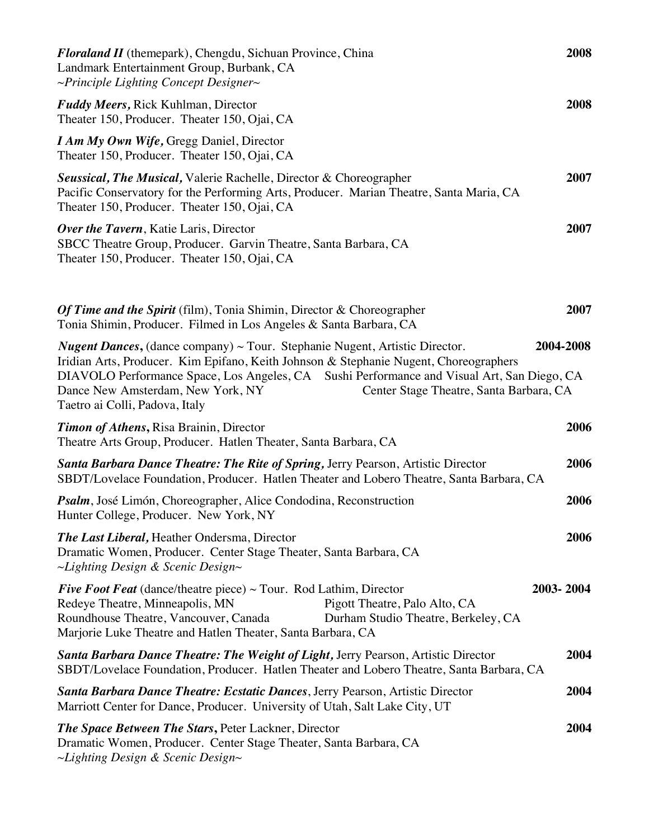| <b>Floraland II</b> (themepark), Chengdu, Sichuan Province, China<br>Landmark Entertainment Group, Burbank, CA<br>$\sim$ Principle Lighting Concept Designer $\sim$                                                                                                                                                                                                                               |           |  |
|---------------------------------------------------------------------------------------------------------------------------------------------------------------------------------------------------------------------------------------------------------------------------------------------------------------------------------------------------------------------------------------------------|-----------|--|
| <b>Fuddy Meers, Rick Kuhlman, Director</b><br>Theater 150, Producer. Theater 150, Ojai, CA                                                                                                                                                                                                                                                                                                        | 2008      |  |
| I Am My Own Wife, Gregg Daniel, Director<br>Theater 150, Producer. Theater 150, Ojai, CA                                                                                                                                                                                                                                                                                                          |           |  |
| <b>Seussical, The Musical, Valerie Rachelle, Director &amp; Choreographer</b><br>Pacific Conservatory for the Performing Arts, Producer. Marian Theatre, Santa Maria, CA<br>Theater 150, Producer. Theater 150, Ojai, CA                                                                                                                                                                          | 2007      |  |
| <b>Over the Tavern</b> , Katie Laris, Director<br>SBCC Theatre Group, Producer. Garvin Theatre, Santa Barbara, CA<br>Theater 150, Producer. Theater 150, Ojai, CA                                                                                                                                                                                                                                 | 2007      |  |
| Of Time and the Spirit (film), Tonia Shimin, Director & Choreographer<br>Tonia Shimin, Producer. Filmed in Los Angeles & Santa Barbara, CA                                                                                                                                                                                                                                                        | 2007      |  |
| <i>Nugent Dances</i> , (dance company) $\sim$ Tour. Stephanie Nugent, Artistic Director.<br>Iridian Arts, Producer. Kim Epifano, Keith Johnson & Stephanie Nugent, Choreographers<br>DIAVOLO Performance Space, Los Angeles, CA Sushi Performance and Visual Art, San Diego, CA<br>Dance New Amsterdam, New York, NY<br>Center Stage Theatre, Santa Barbara, CA<br>Taetro ai Colli, Padova, Italy | 2004-2008 |  |
| <b>Timon of Athens, Risa Brainin, Director</b><br>Theatre Arts Group, Producer. Hatlen Theater, Santa Barbara, CA                                                                                                                                                                                                                                                                                 | 2006      |  |
| <b>Santa Barbara Dance Theatre: The Rite of Spring, Jerry Pearson, Artistic Director</b><br>SBDT/Lovelace Foundation, Producer. Hatlen Theater and Lobero Theatre, Santa Barbara, CA                                                                                                                                                                                                              | 2006      |  |
| Psalm, José Limón, Choreographer, Alice Condodina, Reconstruction<br>Hunter College, Producer. New York, NY                                                                                                                                                                                                                                                                                       | 2006      |  |
| <b>The Last Liberal, Heather Ondersma, Director</b><br>Dramatic Women, Producer. Center Stage Theater, Santa Barbara, CA<br>$\sim$ Lighting Design & Scenic Design $\sim$                                                                                                                                                                                                                         | 2006      |  |
| <i>Five Foot Feat</i> (dance/theatre piece) $\sim$ Tour. Rod Lathim, Director<br>Redeye Theatre, Minneapolis, MN<br>Pigott Theatre, Palo Alto, CA<br>Roundhouse Theatre, Vancouver, Canada<br>Durham Studio Theatre, Berkeley, CA<br>Marjorie Luke Theatre and Hatlen Theater, Santa Barbara, CA                                                                                                  | 2003-2004 |  |
| Santa Barbara Dance Theatre: The Weight of Light, Jerry Pearson, Artistic Director<br>SBDT/Lovelace Foundation, Producer. Hatlen Theater and Lobero Theatre, Santa Barbara, CA                                                                                                                                                                                                                    | 2004      |  |
| <b>Santa Barbara Dance Theatre: Ecstatic Dances</b> , Jerry Pearson, Artistic Director<br>Marriott Center for Dance, Producer. University of Utah, Salt Lake City, UT                                                                                                                                                                                                                             | 2004      |  |
| <b>The Space Between The Stars, Peter Lackner, Director</b><br>Dramatic Women, Producer. Center Stage Theater, Santa Barbara, CA<br>$\sim$ Lighting Design & Scenic Design $\sim$                                                                                                                                                                                                                 | 2004      |  |